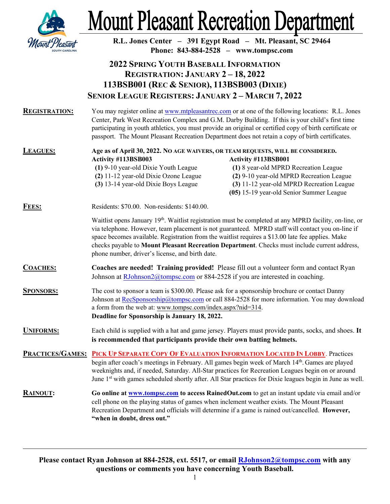

## **Mount Pleasant Recreation Department**

| <i>Mount Ple</i>     | R.L. Jones Center - 391 Egypt Road - Mt. Pleasant, SC 29464<br>Phone: 843-884-2528 - www.tompsc.com                                                                                                                                                                                                                                                                                                                          |                                                                                                                                                                                                                                                                                                                                                                                                                 |
|----------------------|------------------------------------------------------------------------------------------------------------------------------------------------------------------------------------------------------------------------------------------------------------------------------------------------------------------------------------------------------------------------------------------------------------------------------|-----------------------------------------------------------------------------------------------------------------------------------------------------------------------------------------------------------------------------------------------------------------------------------------------------------------------------------------------------------------------------------------------------------------|
|                      | <b>2022 SPRING YOUTH BASEBALL INFORMATION</b><br><b>REGISTRATION: JANUARY 2-18, 2022</b><br>113BSB001 (REC & SENIOR), 113BSB003 (DIXIE)<br><b>SENIOR LEAGUE REGISTERS: JANUARY 2-MARCH 7, 2022</b>                                                                                                                                                                                                                           |                                                                                                                                                                                                                                                                                                                                                                                                                 |
| <b>REGISTRATION:</b> | You may register online at www.mtpleasantrec.com or at one of the following locations: R.L. Jones<br>Center, Park West Recreation Complex and G.M. Darby Building. If this is your child's first time<br>participating in youth athletics, you must provide an original or certified copy of birth certificate or<br>passport. The Mount Pleasant Recreation Department does not retain a copy of birth certificates.        |                                                                                                                                                                                                                                                                                                                                                                                                                 |
| <b>LEAGUES:</b>      | Age as of April 30, 2022. NO AGE WAIVERS, OR TEAM REQUESTS, WILL BE CONSIDERED.<br>Activity #113BSB003<br>(1) 9-10 year-old Dixie Youth League<br>(2) 11-12 year-old Dixie Ozone League<br>(3) 13-14 year-old Dixie Boys League                                                                                                                                                                                              | Activity #113BSB001<br>(1) 8 year-old MPRD Recreation League<br>(2) 9-10 year-old MPRD Recreation League<br>(3) 11-12 year-old MPRD Recreation League<br>(05) 15-19 year-old Senior Summer League                                                                                                                                                                                                               |
| <b>FEES:</b>         | Residents: \$70.00. Non-residents: \$140.00.                                                                                                                                                                                                                                                                                                                                                                                 |                                                                                                                                                                                                                                                                                                                                                                                                                 |
|                      | phone number, driver's license, and birth date.                                                                                                                                                                                                                                                                                                                                                                              | Waitlist opens January 19th. Waitlist registration must be completed at any MPRD facility, on-line, or<br>via telephone. However, team placement is not guaranteed. MPRD staff will contact you on-line if<br>space becomes available. Registration from the waitlist requires a \$13.00 late fee applies. Make<br>checks payable to Mount Pleasant Recreation Department. Checks must include current address, |
| <b>COACHES:</b>      | Coaches are needed! Training provided! Please fill out a volunteer form and contact Ryan<br>Johnson at RJohnson2@tompsc.com or 884-2528 if you are interested in coaching.                                                                                                                                                                                                                                                   |                                                                                                                                                                                                                                                                                                                                                                                                                 |
| <b>SPONSORS:</b>     | The cost to sponsor a team is \$300.00. Please ask for a sponsorship brochure or contact Danny<br>Johnson at RecSponsorship@tompsc.com or call 884-2528 for more information. You may download<br>a form from the web at: www.tompsc.com/index.aspx?nid=314.<br>Deadline for Sponsorship is January 18, 2022.                                                                                                                |                                                                                                                                                                                                                                                                                                                                                                                                                 |
| <b>UNIFORMS:</b>     | Each child is supplied with a hat and game jersey. Players must provide pants, socks, and shoes. It<br>is recommended that participants provide their own batting helmets.                                                                                                                                                                                                                                                   |                                                                                                                                                                                                                                                                                                                                                                                                                 |
|                      | PRACTICES/GAMES: PICK UP SEPARATE COPY OF EVALUATION INFORMATION LOCATED IN LOBBY. Practices<br>begin after coach's meetings in February. All games begin week of March 14 <sup>th</sup> . Games are played<br>weeknights and, if needed, Saturday. All-Star practices for Recreation Leagues begin on or around<br>June 1st with games scheduled shortly after. All Star practices for Dixie leagues begin in June as well. |                                                                                                                                                                                                                                                                                                                                                                                                                 |
| <b>RAINOUT:</b>      | Go online at www.tompsc.com to access RainedOut.com to get an instant update via email and/or<br>cell phone on the playing status of games when inclement weather exists. The Mount Pleasant<br>Recreation Department and officials will determine if a game is rained out/cancelled. However,<br>"when in doubt, dress out."                                                                                                |                                                                                                                                                                                                                                                                                                                                                                                                                 |

**Please contact Ryan Johnson at 884-2528, ext. 5517, or email [RJohnson2@tompsc.com](mailto:RJohnson2@tompsc.com) with any questions or comments you have concerning Youth Baseball.**